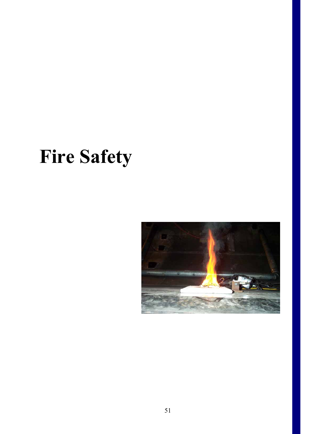# **Fire Safety**

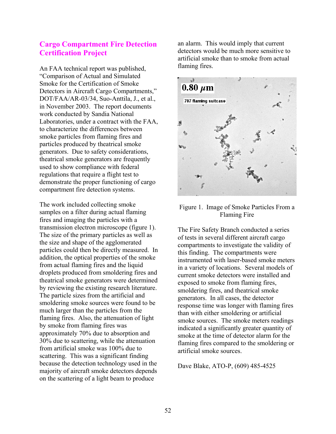## **Cargo Compartment Fire Detection Certification Project**

An FAA technical report was published, "Comparison of Actual and Simulated Smoke for the Certification of Smoke Detectors in Aircraft Cargo Compartments," DOT/FAA/AR-03/34, Suo-Anttila, J., et al., in November 2003. The report documents work conducted by Sandia National Laboratories, under a contract with the FAA, to characterize the differences between smoke particles from flaming fires and particles produced by theatrical smoke generators. Due to safety considerations, theatrical smoke generators are frequently used to show compliance with federal regulations that require a flight test to demonstrate the proper functioning of cargo compartment fire detection systems.

The work included collecting smoke samples on a filter during actual flaming fires and imaging the particles with a transmission electron microscope (figure 1). The size of the primary particles as well as the size and shape of the agglomerated particles could then be directly measured. In addition, the optical properties of the smoke from actual flaming fires and the liquid droplets produced from smoldering fires and theatrical smoke generators were determined by reviewing the existing research literature. The particle sizes from the artificial and smoldering smoke sources were found to be much larger than the particles from the flaming fires. Also, the attenuation of light by smoke from flaming fires was approximately 70% due to absorption and 30% due to scattering, while the attenuation from artificial smoke was 100% due to scattering. This was a significant finding because the detection technology used in the majority of aircraft smoke detectors depends on the scattering of a light beam to produce

an alarm. This would imply that current detectors would be much more sensitive to artificial smoke than to smoke from actual flaming fires.



#### Figure 1. Image of Smoke Particles From a Flaming Fire

The Fire Safety Branch conducted a series of tests in several different aircraft cargo compartments to investigate the validity of this finding. The compartments were instrumented with laser-based smoke meters in a variety of locations. Several models of current smoke detectors were installed and exposed to smoke from flaming fires, smoldering fires, and theatrical smoke generators. In all cases, the detector response time was longer with flaming fires than with either smoldering or artificial smoke sources. The smoke meters readings indicated a significantly greater quantity of smoke at the time of detector alarm for the flaming fires compared to the smoldering or artificial smoke sources.

Dave Blake, ATO-P, (609) 485-4525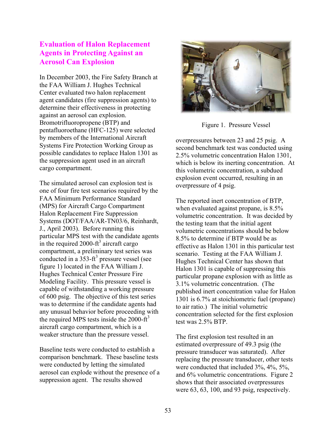## **Evaluation of Halon Replacement Agents in Protecting Against an Aerosol Can Explosion**

In December 2003, the Fire Safety Branch at the FAA William J. Hughes Technical Center evaluated two halon replacement agent candidates (fire suppression agents) to determine their effectiveness in protecting against an aerosol can explosion. Bromotrifluoropropene (BTP) and pentafluoroethane (HFC-125) were selected by members of the International Aircraft Systems Fire Protection Working Group as possible candidates to replace Halon 1301 as the suppression agent used in an aircraft cargo compartment.

The simulated aerosol can explosion test is one of four fire test scenarios required by the FAA Minimum Performance Standard (MPS) for Aircraft Cargo Compartment Halon Replacement Fire Suppression Systems (DOT/FAA/AR-TN03/6, Reinhardt, J., April 2003). Before running this particular MPS test with the candidate agents in the required 2000-ft<sup>3</sup> aircraft cargo compartment, a preliminary test series was conducted in a  $353-ft^3$  pressure vessel (see figure 1) located in the FAA William J. Hughes Technical Center Pressure Fire Modeling Facility. This pressure vessel is capable of withstanding a working pressure of 600 psig. The objective of this test series was to determine if the candidate agents had any unusual behavior before proceeding with the required MPS tests inside the 2000-ft<sup>3</sup> aircraft cargo compartment, which is a weaker structure than the pressure vessel.

Baseline tests were conducted to establish a comparison benchmark. These baseline tests were conducted by letting the simulated aerosol can explode without the presence of a suppression agent. The results showed



Figure 1. Pressure Vessel

overpressures between 23 and 25 psig. A second benchmark test was conducted using 2.5% volumetric concentration Halon 1301, which is below its inerting concentration. At this volumetric concentration, a subdued explosion event occurred, resulting in an overpressure of 4 psig.

The reported inert concentration of BTP, when evaluated against propane, is 8.5% volumetric concentration. It was decided by the testing team that the initial agent volumetric concentrations should be below 8.5% to determine if BTP would be as effective as Halon 1301 in this particular test scenario. Testing at the FAA William J. Hughes Technical Center has shown that Halon 1301 is capable of suppressing this particular propane explosion with as little as 3.1% volumetric concentration. (The published inert concentration value for Halon 1301 is 6.7% at stoichiometric fuel (propane) to air ratio.) The initial volumetric concentration selected for the first explosion test was 2.5% BTP.

The first explosion test resulted in an estimated overpressure of 49.3 psig (the pressure transducer was saturated). After replacing the pressure transducer, other tests were conducted that included 3%, 4%, 5%, and 6% volumetric concentrations. Figure 2 shows that their associated overpressures were 63, 63, 100, and 93 psig, respectively.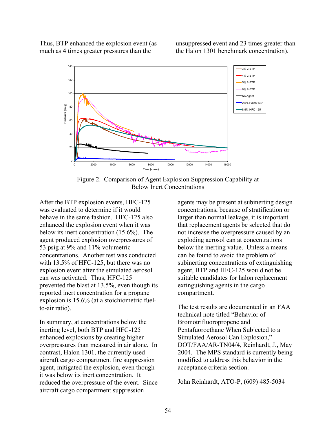Thus, BTP enhanced the explosion event (as much as 4 times greater pressures than the

unsuppressed event and 23 times greater than the Halon 1301 benchmark concentration).



Figure 2. Comparison of Agent Explosion Suppression Capability at Below Inert Concentrations

After the BTP explosion events, HFC-125 was evaluated to determine if it would behave in the same fashion. HFC-125 also enhanced the explosion event when it was below its inert concentration (15.6%). The agent produced explosion overpressures of 53 psig at 9% and 11% volumetric concentrations. Another test was conducted with 13.5% of HFC-125, but there was no explosion event after the simulated aerosol can was activated. Thus, HFC-125 prevented the blast at 13.5%, even though its reported inert concentration for a propane explosion is 15.6% (at a stoichiometric fuelto-air ratio).

In summary, at concentrations below the inerting level, both BTP and HFC-125 enhanced explosions by creating higher overpressures than measured in air alone. In contrast, Halon 1301, the currently used aircraft cargo compartment fire suppression agent, mitigated the explosion, even though it was below its inert concentration. It reduced the overpressure of the event. Since aircraft cargo compartment suppression

agents may be present at subinerting design concentrations, because of stratification or larger than normal leakage, it is important that replacement agents be selected that do not increase the overpressure caused by an exploding aerosol can at concentrations below the inerting value. Unless a means can be found to avoid the problem of subinerting concentrations of extinguishing agent, BTP and HFC-125 would not be suitable candidates for halon replacement extinguishing agents in the cargo compartment.

The test results are documented in an FAA technical note titled "Behavior of Bromotrifluoropropene and Pentafuoroethane When Subjected to a Simulated Aerosol Can Explosion," DOT/FAA/AR-TN04/4, Reinhardt, J., May 2004. The MPS standard is currently being modified to address this behavior in the acceptance criteria section.

John Reinhardt, ATO-P, (609) 485-5034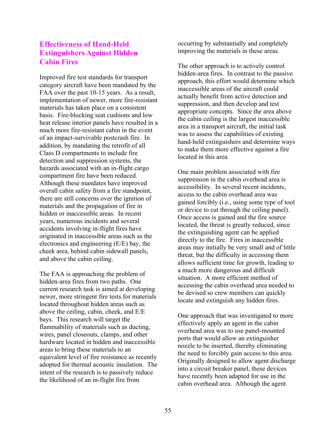## **Effectiveness of Hand-Held Extinguishers Against Hidden Cabin Fires**

Improved fire test standards for transport category aircraft have been mandated by the FAA over the past 10-15 years. As a result, implementation of newer, more fire-resistant materials has taken place on a consistent basis. Fire-blocking seat cushions and low heat release interior panels have resulted in a much more fire-resistant cabin in the event of an impact-survivable postcrash fire. In addition, by mandating the retrofit of all Class D compartments to include fire detection and suppression systems, the hazards associated with an in-flight cargo compartment fire have been reduced. Although these mandates have improved overall cabin safety from a fire standpoint, there are still concerns over the ignition of materials and the propagation of fire in hidden or inaccessible areas. In recent years, numerous incidents and several accidents involving in-flight fires have originated in inaccessible areas such as the electronics and engineering (E/E) bay, the cheek area, behind cabin sidewall panels, and above the cabin ceiling.

The FAA is approaching the problem of hidden-area fires from two paths. One current research task is aimed at developing newer, more stringent fire tests for materials located throughout hidden areas such as above the ceiling, cabin, cheek, and E/E bays. This research will target the flammability of materials such as ducting, wires, panel closeouts, clamps, and other hardware located in hidden and inaccessible areas to bring these materials to an equivalent level of fire resistance as recently adopted for thermal acoustic insulation. The intent of the research is to passively reduce the likelihood of an in-flight fire from

occurring by substantially and completely improving the materials in these areas.

The other approach is to actively control hidden-area fires. In contrast to the passive approach, this effort would determine which inaccessible areas of the aircraft could actually benefit from active detection and suppression, and then develop and test appropriate concepts. Since the area above the cabin ceiling is the largest inaccessible area in a transport aircraft, the initial task was to assess the capabilities of existing hand-held extinguishers and determine ways to make them more effective against a fire located in this area.

One main problem associated with fire suppression in the cabin overhead area is accessibility. In several recent incidents, access to the cabin overhead area was gained forcibly (i.e., using some type of tool or device to cut through the ceiling panel). Once access is gained and the fire source located, the threat is greatly reduced, since the extinguishing agent can be applied directly to the fire. Fires in inaccessible areas may initially be very small and of little threat, but the difficulty in accessing them allows sufficient time for growth, leading to a much more dangerous and difficult situation. A more efficient method of accessing the cabin overhead area needed to be devised so crew members can quickly locate and extinguish any hidden fires.

One approach that was investigated to more effectively apply an agent in the cabin overhead area was to use panel-mounted ports that would allow an extinguisher nozzle to be inserted, thereby eliminating the need to forcibly gain access to this area. Originally designed to allow agent discharge into a circuit breaker panel, these devices have recently been adapted for use in the cabin overhead area. Although the agent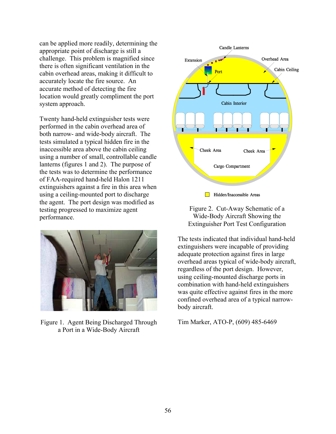can be applied more readily, determining the appropriate point of discharge is still a challenge. This problem is magnified since there is often significant ventilation in the cabin overhead areas, making it difficult to accurately locate the fire source. An accurate method of detecting the fire location would greatly compliment the port system approach.

Twenty hand-held extinguisher tests were performed in the cabin overhead area of both narrow- and wide-body aircraft. The tests simulated a typical hidden fire in the inaccessible area above the cabin ceiling using a number of small, controllable candle lanterns (figures 1 and 2). The purpose of the tests was to determine the performance of FAA-required hand-held Halon 1211 extinguishers against a fire in this area when using a ceiling-mounted port to discharge the agent. The port design was modified as testing progressed to maximize agent performance.



Figure 1. Agent Being Discharged Through a Port in a Wide-Body Aircraft





The tests indicated that individual hand-held extinguishers were incapable of providing adequate protection against fires in large overhead areas typical of wide-body aircraft, regardless of the port design. However, using ceiling-mounted discharge ports in combination with hand-held extinguishers was quite effective against fires in the more confined overhead area of a typical narrowbody aircraft.

Tim Marker, ATO-P, (609) 485-6469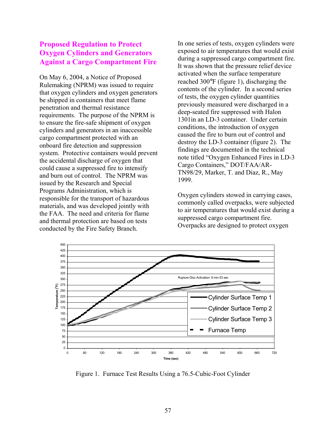## **Proposed Regulation to Protect Oxygen Cylinders and Generators Against a Cargo Compartment Fire**

On May 6, 2004, a Notice of Proposed Rulemaking (NPRM) was issued to require that oxygen cylinders and oxygen generators be shipped in containers that meet flame penetration and thermal resistance requirements. The purpose of the NPRM is to ensure the fire-safe shipment of oxygen cylinders and generators in an inaccessible cargo compartment protected with an onboard fire detection and suppression system. Protective containers would prevent the accidental discharge of oxygen that could cause a suppressed fire to intensify and burn out of control. The NPRM was issued by the Research and Special Programs Administration, which is responsible for the transport of hazardous materials, and was developed jointly with the FAA. The need and criteria for flame and thermal protection are based on tests conducted by the Fire Safety Branch.

In one series of tests, oxygen cylinders were exposed to air temperatures that would exist during a suppressed cargo compartment fire. It was shown that the pressure relief device activated when the surface temperature reached 300°F (figure 1), discharging the contents of the cylinder. In a second series of tests, the oxygen cylinder quantities previously measured were discharged in a deep-seated fire suppressed with Halon 1301in an LD-3 container. Under certain conditions, the introduction of oxygen caused the fire to burn out of control and destroy the LD-3 container (figure 2). The findings are documented in the technical note titled "Oxygen Enhanced Fires in LD-3 Cargo Containers," DOT/FAA/AR-TN98/29, Marker, T. and Diaz, R., May 1999.

Oxygen cylinders stowed in carrying cases, commonly called overpacks, were subjected to air temperatures that would exist during a suppressed cargo compartment fire. Overpacks are designed to protect oxygen



Figure 1. Furnace Test Results Using a 76.5-Cubic-Foot Cylinder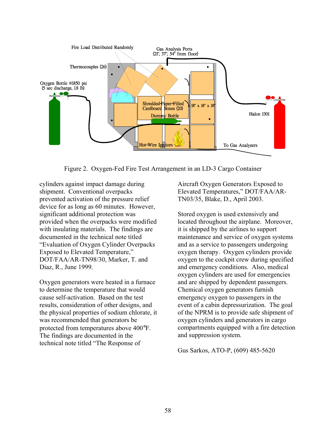

Figure 2. Oxygen-Fed Fire Test Arrangement in an LD-3 Cargo Container

cylinders against impact damage during prevented activation of the pressure relief device for as long as 60 minutes. However, "Evaluation of Oxygen Cylinder Overpacks DOT/FAA/AR-TN98/30, Marker, T. and shipment. Conventional overpacks significant additional protection was provided when the overpacks were modified with insulating materials. The findings are documented in the technical note titled Exposed to Elevated Temperature," Diaz, R., June 1999.

Oxygen generators were heated in a furnace results, consideration of other designs, and t the physical properties of sodium chlorate, i protected from temperatures above 400°F. f technical note titled "The Response o to determine the temperature that would cause self-activation. Based on the test was recommended that generators be The findings are documented in the

Aircraft Oxygen Generators Exposed to Elevated Temperatures," DOT/FAA/AR-TN03/35, Blake, D., April 2003.

Stored oxygen is used extensively and located throughout the airplane. Moreover, maintenance and service of oxygen systems e emergency oxygen to passengers in th event of a cabin depressurization. The goal compartments equipped with a fire detection it is shipped by the airlines to support and as a service to passengers undergoing oxygen therapy. Oxygen cylinders provide oxygen to the cockpit crew during specified and emergency conditions. Also, medical oxygen cylinders are used for emergencies and are shipped by dependent passengers. Chemical oxygen generators furnish of the NPRM is to provide safe shipment of oxygen cylinders and generators in cargo and suppression system.

Gus Sarkos, ATO-P, (609) 485-5620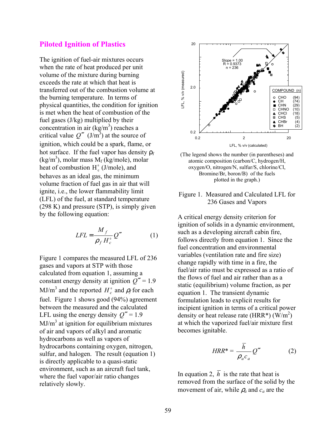#### **Piloted Ignition of Plastics**

The ignition of fuel-air mixtures occurs when the rate of heat produced per unit volume of the mixture during burning exceeds the rate at which that heat is transferred out of the combustion volume at the burning temperature. In terms of physical quantities, the condition for ignition is met when the heat of combustion of the fuel gases (J/kg) multiplied by their concentration in air  $(kg/m<sup>3</sup>)$  reaches a critical value  $Q'''$  (J/m<sup>3</sup>) at the source of ignition, which could be a spark, flame, or hot surface. If the fuel vapor has density  $\rho_f$  $(kg/m<sup>3</sup>)$ , molar mass  $M_f$  (kg/mole), molar heat of combustion  $H_c^0$  (J/mole), and behaves as an ideal gas, the minimum volume fraction of fuel gas in air that will ignite, i.e., the lower flammability limit (LFL) of the fuel, at standard temperature (298 K) and pressure (STP), is simply given by the following equation:

$$
LFL = \frac{M_f}{\rho_f H_c^0} Q''' \tag{1}
$$

Figure 1 compares the measured LFL of 236 gases and vapors at STP with those calculated from equation 1, assuming a constant energy density at ignition  $Q''' = 1.9$  $MJ/m<sup>3</sup>$  and the reported  $H_c^{\circ}$  and  $\rho_f$  for each fuel. Figure 1 shows good (94%) agreement between the measured and the calculated LFL using the energy density  $Q''' = 1.9$  $MJ/m<sup>3</sup>$  at ignition for equilibrium mixtures of air and vapors of alkyl and aromatic hydrocarbons as well as vapors of hydrocarbons containing oxygen, nitrogen, sulfur, and halogen. The result (equation 1) is directly applicable to a quasi-static environment, such as an aircraft fuel tank, where the fuel vapor/air ratio changes relatively slowly.





#### Figure 1. Measured and Calculated LFL for 236 Gases and Vapors

A critical energy density criterion for ignition of solids in a dynamic environment, such as a developing aircraft cabin fire, follows directly from equation 1. Since the fuel concentration and environmental variables (ventilation rate and fire size) change rapidly with time in a fire, the fuel/air ratio must be expressed as a ratio of the flows of fuel and air rather than as a static (equilibrium) volume fraction, as per equation 1. The transient dynamic formulation leads to explicit results for incipient ignition in terms of a critical power density or heat release rate (HRR\*)  $(\text{W/m}^2)$ at which the vaporized fuel/air mixture first becomes ignitable.

$$
HRR^* = \frac{\overline{h}}{\rho_a c_a} Q''' \tag{2}
$$

In equation 2,  $\overline{h}$  is the rate that heat is removed from the surface of the solid by the movement of air, while  $\rho_a$  and  $c_a$  are the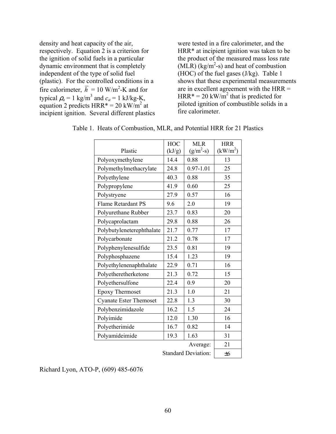density and heat capacity of the air, respectively. Equation 2 is a criterion for the ignition of solid fuels in a particular dynamic environment that is completely independent of the type of solid fuel (plastic). For the controlled conditions in a fire calorimeter,  $\overline{h} = 10 \text{ W/m}^2\text{-K}$  and for typical  $\rho_a = 1$  kg/m<sup>3</sup> and  $c_a = 1$  kJ/kg-K, equation 2 predicts  $HRR^* = 20 \text{ kW/m}^2$  at incipient ignition. Several different plastics were tested in a fire calorimeter, and the HRR\* at incipient ignition was taken to be the product of the measured mass loss rate  $(MLR)$  (kg/m<sup>2</sup>-s) and heat of combustion (HOC) of the fuel gases (J/kg). Table 1 shows that these experimental measurements are in excellent agreement with the HRR = HRR\* = 20 kW/m<sup>2</sup> that is predicted for piloted ignition of combustible solids in a fire calorimeter.

|                               | <b>HOC</b>                 | <b>MLR</b>    | <b>HRR</b>           |
|-------------------------------|----------------------------|---------------|----------------------|
| Plastic                       | (kJ/g)                     | $(g/m^2-s)$   | (kW/m <sup>2</sup> ) |
| Polyoxymethylene              | 14.4                       | 0.88          | 13                   |
| Polymethylmethacrylate        | 24.8                       | $0.97 - 1.01$ | 25                   |
| Polyethylene                  | 40.3                       | 0.88          | 35                   |
| Polypropylene                 | 41.9                       | 0.60          | 25                   |
| Polystryene                   | 27.9                       | 0.57          | 16                   |
| <b>Flame Retardant PS</b>     | 9.6                        | 2.0           | 19                   |
| Polyurethane Rubber           | 23.7                       | 0.83          | 20                   |
| Polycaprolactam               | 29.8                       | 0.88          | 26                   |
| Polybutyleneterephthalate     | 21.7                       | 0.77          | 17                   |
| Polycarbonate                 | 21.2                       | 0.78          | 17                   |
| Polyphenylenesulfide          | 23.5                       | 0.81          | 19                   |
| Polyphosphazene               | 15.4                       | 1.23          | 19                   |
| Polyethylenenaphthalate       | 22.9                       | 0.71          | 16                   |
| Polyetheretherketone          | 21.3                       | 0.72          | 15                   |
| Polyethersulfone              | 22.4                       | 0.9           | 20                   |
| <b>Epoxy Thermoset</b>        | 21.3                       | 1.0           | 21                   |
| <b>Cyanate Ester Themoset</b> | 22.8                       | 1.3           | 30                   |
| Polybenzimidazole             | 16.2                       | 1.5           | 24                   |
| Polyimide                     | 12.0                       | 1.30          | 16                   |
| Polyetherimide                | 16.7                       | 0.82          | 14                   |
| Polyamideimide                | 19.3                       | 1.63          | 31                   |
|                               |                            | Average:      | 21                   |
|                               | <b>Standard Deviation:</b> |               |                      |

Table 1. Heats of Combustion, MLR, and Potential HRR for 21 Plastics

Richard Lyon, ATO-P, (609) 485-6076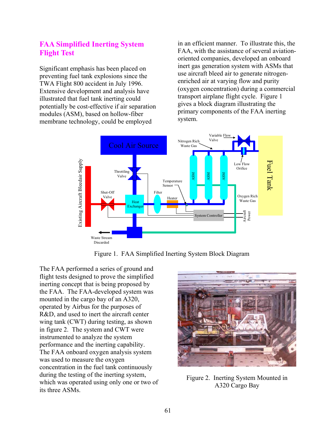## **FAA Simplified Inerting System Flight Test**

Significant emphasis has been placed on preventing fuel tank explosions since the TWA Flight 800 accident in July 1996. Extensive development and analysis have illustrated that fuel tank inerting could potentially be cost-effective if air separation modules (ASM), based on hollow-fiber membrane technology, could be employed

in an efficient manner. To illustrate this, the FAA, with the assistance of several aviationoriented companies, developed an onboard inert gas generation system with ASMs that use aircraft bleed air to generate nitrogenenriched air at varying flow and purity (oxygen concentration) during a commercial transport airplane flight cycle. Figure 1 gives a block diagram illustrating the primary components of the FAA inerting system.



Figure 1. FAA Simplified Inerting System Block Diagram

The FAA performed a series of ground and flight tests designed to prove the simplified inerting concept that is being proposed by the FAA. The FAA-developed system was mounted in the cargo bay of an A320, operated by Airbus for the purposes of R&D, and used to inert the aircraft center wing tank (CWT) during testing, as shown in figure 2. The system and CWT were instrumented to analyze the system performance and the inerting capability. The FAA onboard oxygen analysis system was used to measure the oxygen concentration in the fuel tank continuously during the testing of the inerting system, which was operated using only one or two of its three ASMs.



Figure 2. Inerting System Mounted in A320 Cargo Bay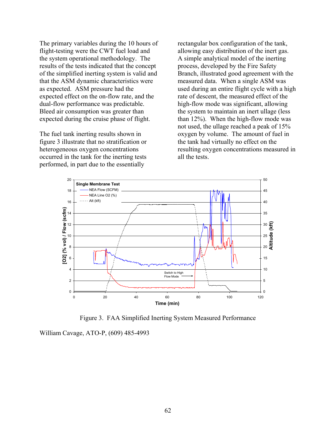The primary variables during the 10 hours of flight-testing were the CWT fuel load and the system operational methodology. The results of the tests indicated that the concept of the simplified inerting system is valid and that the ASM dynamic characteristics were as expected. ASM pressure had the expected effect on the on-flow rate, and the dual-flow performance was predictable. Bleed air consumption was greater than expected during the cruise phase of flight.

The fuel tank inerting results shown in figure 3 illustrate that no stratification or heterogeneous oxygen concentrations occurred in the tank for the inerting tests performed, in part due to the essentially

rectangular box configuration of the tank, allowing easy distribution of the inert gas. A simple analytical model of the inerting process, developed by the Fire Safety Branch, illustrated good agreement with the measured data. When a single ASM was used during an entire flight cycle with a high rate of descent, the measured effect of the high-flow mode was significant, allowing the system to maintain an inert ullage (less than 12%). When the high-flow mode was not used, the ullage reached a peak of 15% oxygen by volume. The amount of fuel in the tank had virtually no effect on the resulting oxygen concentrations measured in all the tests.



Figure 3. FAA Simplified Inerting System Measured Performance

William Cavage, ATO-P, (609) 485-4993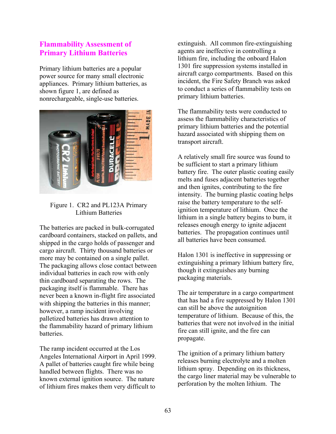## **Flammability Assessment of Primary Lithium Batteries**

Primary lithium batteries are a popular power source for many small electronic appliances. Primary lithium batteries, as shown figure 1, are defined as nonrechargeable, single-use batteries.



### Figure 1. CR2 and PL123A Primary Lithium Batteries

The batteries are packed in bulk-corrugated cardboard containers, stacked on pallets, and shipped in the cargo holds of passenger and cargo aircraft. Thirty thousand batteries or more may be contained on a single pallet. The packaging allows close contact between individual batteries in each row with only thin cardboard separating the rows. The packaging itself is flammable. There has never been a known in-flight fire associated with shipping the batteries in this manner; however, a ramp incident involving palletized batteries has drawn attention to the flammability hazard of primary lithium **batteries** 

The ramp incident occurred at the Los Angeles International Airport in April 1999. A pallet of batteries caught fire while being handled between flights. There was no known external ignition source. The nature of lithium fires makes them very difficult to

extinguish. All common fire-extinguishing agents are ineffective in controlling a lithium fire, including the onboard Halon 1301 fire suppression systems installed in aircraft cargo compartments. Based on this incident, the Fire Safety Branch was asked to conduct a series of flammability tests on primary lithium batteries.

The flammability tests were conducted to assess the flammability characteristics of primary lithium batteries and the potential hazard associated with shipping them on transport aircraft.

A relatively small fire source was found to be sufficient to start a primary lithium battery fire. The outer plastic coating easily melts and fuses adjacent batteries together and then ignites, contributing to the fire intensity. The burning plastic coating helps raise the battery temperature to the selfignition temperature of lithium. Once the lithium in a single battery begins to burn, it releases enough energy to ignite adjacent batteries. The propagation continues until all batteries have been consumed.

Halon 1301 is ineffective in suppressing or extinguishing a primary lithium battery fire, though it extinguishes any burning packaging materials.

The air temperature in a cargo compartment that has had a fire suppressed by Halon 1301 can still be above the autoignition temperature of lithium. Because of this, the batteries that were not involved in the initial fire can still ignite, and the fire can propagate.

The ignition of a primary lithium battery releases burning electrolyte and a molten lithium spray. Depending on its thickness, the cargo liner material may be vulnerable to perforation by the molten lithium. The